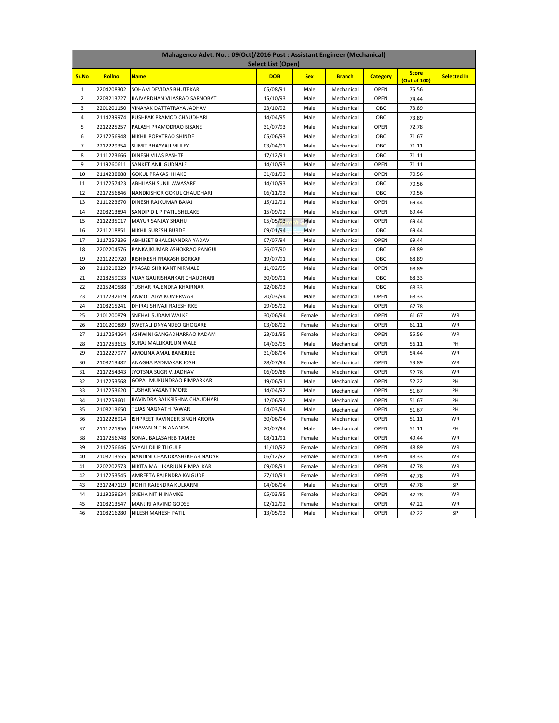| Mahagenco Advt. No.: 09(Oct)/2016 Post: Assistant Engineer (Mechanical) |            |                               |            |            |               |                 |                              |                    |  |
|-------------------------------------------------------------------------|------------|-------------------------------|------------|------------|---------------|-----------------|------------------------------|--------------------|--|
| <b>Select List (Open)</b>                                               |            |                               |            |            |               |                 |                              |                    |  |
| Sr.No                                                                   | Rollno     | <b>Name</b>                   | <b>DOB</b> | <b>Sex</b> | <b>Branch</b> | <b>Category</b> | <b>Score</b><br>(Out of 100) | <b>Selected In</b> |  |
| 1                                                                       | 2204208302 | SOHAM DEVIDAS BHUTEKAR        | 05/08/91   | Male       | Mechanical    | <b>OPEN</b>     | 75.56                        |                    |  |
| $\overline{2}$                                                          | 2208213727 | RAJVARDHAN VILASRAO SARNOBAT  | 15/10/93   | Male       | Mechanical    | <b>OPEN</b>     | 74.44                        |                    |  |
| 3                                                                       | 2201201150 | VINAYAK DATTATRAYA JADHAV     | 23/10/92   | Male       | Mechanical    | OBC             | 73.89                        |                    |  |
| $\overline{4}$                                                          | 2114239974 | PUSHPAK PRAMOD CHAUDHARI      | 14/04/95   | Male       | Mechanical    | OBC             | 73.89                        |                    |  |
| 5                                                                       | 2212225257 | PALASH PRAMODRAO BISANE       | 31/07/93   | Male       | Mechanical    | <b>OPEN</b>     | 72.78                        |                    |  |
| 6                                                                       | 2217256948 | NIKHIL POPATRAO SHINDE        | 05/06/93   | Male       | Mechanical    | OBC             | 71.67                        |                    |  |
| $\overline{7}$                                                          | 2212229354 | SUMIT BHAYYAJI MULEY          | 03/04/91   | Male       | Mechanical    | OBC             | 71.11                        |                    |  |
| 8                                                                       | 2111223666 | DINESH VILAS PASHTE           | 17/12/91   | Male       | Mechanical    | OBC             | 71.11                        |                    |  |
| 9                                                                       | 2119260611 | SANKET ANIL GUDNALE           | 14/10/93   | Male       | Mechanical    | <b>OPEN</b>     | 71.11                        |                    |  |
| 10                                                                      | 2114238888 | <b>GOKUL PRAKASH HAKE</b>     | 31/01/93   | Male       | Mechanical    | <b>OPEN</b>     | 70.56                        |                    |  |
| 11                                                                      | 2117257423 | ABHILASH SUNIL AWASARE        | 14/10/93   | Male       | Mechanical    | OBC             | 70.56                        |                    |  |
| 12                                                                      | 2217256846 | NANDKISHOR GOKUL CHAUDHARI    | 06/11/93   | Male       | Mechanical    | OBC             | 70.56                        |                    |  |
| 13                                                                      | 2111223670 | DINESH RAJKUMAR BAJAJ         | 15/12/91   | Male       | Mechanical    | <b>OPEN</b>     | 69.44                        |                    |  |
| 14                                                                      | 2208213894 | SANDIP DILIP PATIL SHELAKE    | 15/09/92   | Male       | Mechanical    | <b>OPEN</b>     | 69.44                        |                    |  |
| 15                                                                      | 2112235017 | MAYUR SANJAY SHAHU            | 05/05/93   | Male       | Mechanical    | <b>OPEN</b>     | 69.44                        |                    |  |
| 16                                                                      | 2211218851 | NIKHIL SURESH BURDE           | 09/01/94   | Male       | Mechanical    | OBC             | 69.44                        |                    |  |
| 17                                                                      | 2117257336 | ABHIJEET BHALCHANDRA YADAV    | 07/07/94   | Male       | Mechanical    | <b>OPEN</b>     | 69.44                        |                    |  |
| 18                                                                      | 2202204576 | PANKAJKUMAR ASHOKRAO PANGUL   | 26/07/90   | Male       | Mechanical    | OBC             | 68.89                        |                    |  |
| 19                                                                      | 2211220720 | RISHIKESH PRAKASH BORKAR      | 19/07/91   | Male       | Mechanical    | OBC             | 68.89                        |                    |  |
| 20                                                                      | 2110218329 | PRASAD SHRIKANT NIRMALE       | 11/02/95   | Male       | Mechanical    | <b>OPEN</b>     | 68.89                        |                    |  |
| 21                                                                      | 2218259033 | VIJAY GAURISHANKAR CHAUDHARI  | 30/09/91   | Male       | Mechanical    | OBC             | 68.33                        |                    |  |
| 22                                                                      | 2215240588 | TUSHAR RAJENDRA KHAIRNAR      | 22/08/93   | Male       | Mechanical    | OBC             | 68.33                        |                    |  |
| 23                                                                      | 2112232619 | ANMOL AJAY KOMERWAR           | 20/03/94   | Male       | Mechanical    | <b>OPEN</b>     | 68.33                        |                    |  |
| 24                                                                      | 2108215241 | DHIRAJ SHIVAJI RAJESHIRKE     | 29/05/92   | Male       | Mechanical    | <b>OPEN</b>     | 67.78                        |                    |  |
| 25                                                                      | 2101200879 | SNEHAL SUDAM WALKE            | 30/06/94   | Female     | Mechanical    | <b>OPEN</b>     | 61.67                        | WR                 |  |
| 26                                                                      | 2101200889 | SWETALI DNYANDEO GHOGARE      | 03/08/92   | Female     | Mechanical    | <b>OPEN</b>     | 61.11                        | WR                 |  |
| 27                                                                      | 2117254264 | ASHWINI GANGADHARRAO KADAM    | 23/01/95   | Female     | Mechanical    | <b>OPEN</b>     | 55.56                        | WR                 |  |
| 28                                                                      | 2117253615 | SURAJ MALLIKARJUN WALE        | 04/03/95   | Male       | Mechanical    | <b>OPEN</b>     | 56.11                        | PH                 |  |
| 29                                                                      | 2112227977 | AMOLINA AMAL BANERJEE         | 31/08/94   | Female     | Mechanical    | <b>OPEN</b>     | 54.44                        | WR                 |  |
| 30                                                                      | 2108213482 | ANAGHA PADMAKAR JOSHI         | 28/07/94   | Female     | Mechanical    | <b>OPEN</b>     | 53.89                        | <b>WR</b>          |  |
| 31                                                                      | 2117254343 | JYOTSNA SUGRIV. JADHAV        | 06/09/88   | Female     | Mechanical    | <b>OPEN</b>     | 52.78                        | WR                 |  |
| 32                                                                      | 2117253568 | GOPAL MUKUNDRAO PIMPARKAR     | 19/06/91   | Male       | Mechanical    | <b>OPEN</b>     | 52.22                        | PH                 |  |
| 33                                                                      | 2117253620 | TUSHAR VASANT MORE            | 14/04/92   | Male       | Mechanical    | <b>OPEN</b>     | 51.67                        | PH                 |  |
| 34                                                                      | 2117253601 | RAVINDRA BALKRISHNA CHAUDHARI | 12/06/92   | Male       | Mechanical    | <b>OPEN</b>     | 51.67                        | PH                 |  |
| 35                                                                      | 2108213650 | TEJAS NAGNATH PAWAR           | 04/03/94   | Male       | Mechanical    | <b>OPEN</b>     | 51.67                        | PH                 |  |
| 36                                                                      | 2112228914 | ISHPREET RAVINDER SINGH ARORA | 30/06/94   | Female     | Mechanical    | <b>OPEN</b>     | 51.11                        | WR                 |  |
| 37                                                                      | 2111221956 | CHAVAN NITIN ANANDA           | 20/07/94   | Male       | Mechanical    | <b>OPEN</b>     | 51.11                        | PH                 |  |
| 38                                                                      | 2117256748 | SONAL BALASAHEB TAMBE         | 08/11/91   | Female     | Mechanical    | <b>OPEN</b>     | 49.44                        | WR                 |  |
| 39                                                                      | 2117256646 | SAYALI DILIP TILGULE          | 11/10/92   | Female     | Mechanical    | OPEN            | 48.89                        | <b>WR</b>          |  |
| 40                                                                      | 2108213555 | NANDINI CHANDRASHEKHAR NADAR  | 06/12/92   | Female     | Mechanical    | <b>OPEN</b>     | 48.33                        | WR                 |  |
| 41                                                                      | 2202202573 | NIKITA MALLIKARJUN PIMPALKAR  | 09/08/91   | Female     | Mechanical    | OPEN            | 47.78                        | <b>WR</b>          |  |
| 42                                                                      | 2117253545 | AMREETA RAJENDRA KAIGUDE      | 27/10/91   | Female     | Mechanical    | OPEN            | 47.78                        | <b>WR</b>          |  |
| 43                                                                      | 2317247119 | ROHIT RAJENDRA KULKARNI       | 04/06/94   | Male       | Mechanical    | OPEN            | 47.78                        | SP                 |  |
| 44                                                                      | 2119259634 | SNEHA NITIN INAMKE            | 05/03/95   | Female     | Mechanical    | OPEN            | 47.78                        | WR                 |  |
| 45                                                                      | 2108213547 | MANJIRI ARVIND GODSE          | 02/12/92   | Female     | Mechanical    | OPEN            | 47.22                        | WR                 |  |
| 46                                                                      | 2108216280 | NILESH MAHESH PATIL           | 13/05/93   | Male       | Mechanical    | OPEN            | 42.22                        | SP                 |  |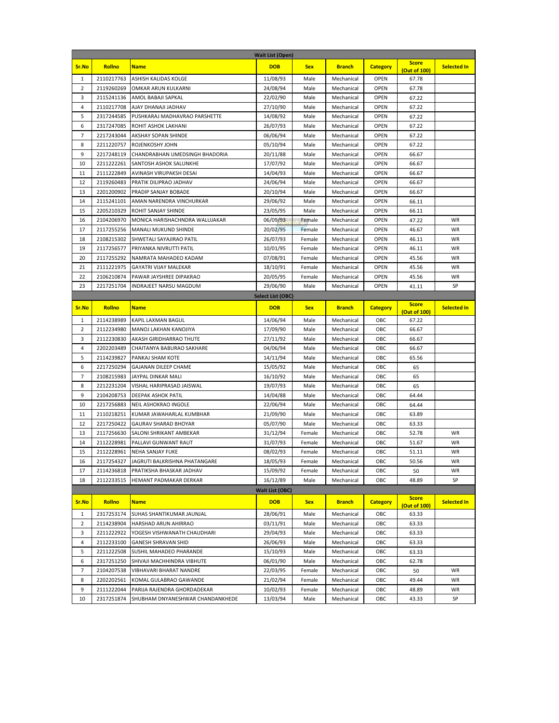| <b>Wait List (Open)</b> |                          |                                                                 |                        |                  |                          |                     |                              |                    |
|-------------------------|--------------------------|-----------------------------------------------------------------|------------------------|------------------|--------------------------|---------------------|------------------------------|--------------------|
| Sr.No                   | <b>Rollno</b>            | <b>Name</b>                                                     | <b>DOB</b>             | <b>Sex</b>       | <b>Branch</b>            | <b>Category</b>     | <b>Score</b><br>(Out of 100) | <b>Selected In</b> |
| $\mathbf{1}$            | 2110217763               | ASHISH KALIDAS KOLGE                                            | 11/08/93               | Male             | Mechanical               | <b>OPEN</b>         | 67.78                        |                    |
| 2                       | 2119260269               | OMKAR ARUN KULKARNI                                             | 24/08/94               | Male             | Mechanical               | <b>OPEN</b>         | 67.78                        |                    |
| 3                       | 2115241136               | AMOL BABAJI SAPKAL                                              | 22/02/90               | Male             | Mechanical               | <b>OPEN</b>         | 67.22                        |                    |
| 4                       | 2110217708               | AJAY DHANAJI JADHAV                                             | 27/10/90               | Male             | Mechanical               | <b>OPEN</b>         | 67.22                        |                    |
| 5                       | 2317244585               | PUSHKARAJ MADHAVRAO PARSHETTE                                   | 14/08/92               | Male             | Mechanical               | <b>OPEN</b>         | 67.22                        |                    |
| 6                       | 2317247085               | ROHIT ASHOK LAKHANI                                             | 26/07/93               | Male             | Mechanical               | <b>OPEN</b>         | 67.22                        |                    |
| 7                       | 2217243044               | AKSHAY SOPAN SHINDE                                             | 06/06/94               | Male             | Mechanical               | <b>OPEN</b>         | 67.22                        |                    |
| 8                       | 2211220757               | ROJENKOSHY JOHN                                                 | 05/10/94               | Male             | Mechanical               | OPEN                | 67.22                        |                    |
| 9                       | 2217248119               | CHANDRABHAN UMEDSINGH BHADORIA                                  | 20/11/88               | Male             | Mechanical               | <b>OPEN</b>         | 66.67                        |                    |
| 10                      | 2211222261               | SANTOSH ASHOK SALUNKHE                                          | 17/07/92               | Male             | Mechanical               | <b>OPEN</b>         | 66.67                        |                    |
| 11                      | 2111222849               | AVINASH VIRUPAKSH DESAI                                         | 14/04/93               | Male             | Mechanical               | <b>OPEN</b>         | 66.67                        |                    |
| 12                      | 2119260483               | PRATIK DILIPRAO JADHAV                                          | 24/06/94               | Male             | Mechanical               | <b>OPEN</b>         | 66.67                        |                    |
| 13                      | 2201200902               | PRADIP SANJAY BOBADE                                            | 20/10/94               | Male             | Mechanical               | <b>OPEN</b>         | 66.67                        |                    |
| 14                      | 2115241101               | AMAN NARENDRA VINCHURKAR                                        | 29/06/92               | Male             | Mechanical               | <b>OPEN</b>         | 66.11                        |                    |
| 15                      | 2205210329               | ROHIT SANJAY SHINDE                                             | 23/05/95               | Male             | Mechanical               | <b>OPEN</b>         | 66.11                        |                    |
| 16                      | 2104206970               | MONICA HARISHACHNDRA WALUJAKAR<br><b>MANALI MUKUND SHINDE</b>   | 06/09/93               | Female           | Mechanical               | <b>OPEN</b>         | 47.22                        | WR<br>WR           |
| 17<br>18                | 2117255256<br>2108215302 | SHWETALI SAYAJIRAO PATIL                                        | 20/02/95<br>26/07/93   | Female<br>Female | Mechanical<br>Mechanical | OPEN<br><b>OPEN</b> | 46.67<br>46.11               | WR                 |
| 19                      | 2117256577               | PRIYANKA NIVRUTTI PATIL                                         | 10/01/95               | Female           | Mechanical               | <b>OPEN</b>         | 46.11                        | WR                 |
| 20                      | 2117255292               | NAMRATA MAHADEO KADAM                                           | 07/08/91               | Female           | Mechanical               | <b>OPEN</b>         | 45.56                        | WR                 |
| 21                      | 2111221975               | GAYATRI VIJAY MALEKAR                                           | 18/10/91               | Female           | Mechanical               | <b>OPEN</b>         | 45.56                        | WR                 |
| 22                      | 2106210874               | PAWAR JAYSHREE DIPAKRAO                                         | 20/05/95               | Female           | Mechanical               | <b>OPEN</b>         | 45.56                        | WR                 |
| 23                      | 2217251704               | INDRAJEET NARSU MAGDUM                                          | 29/06/90               | Male             | Mechanical               | <b>OPEN</b>         | 41.11                        | SP                 |
|                         |                          |                                                                 | Select List (OBC)      |                  |                          |                     |                              |                    |
| Sr.No                   | <b>Rollno</b>            | <b>Name</b>                                                     | <b>DOB</b>             | <b>Sex</b>       | <b>Branch</b>            | <b>Category</b>     | <b>Score</b>                 | <b>Selected In</b> |
|                         |                          |                                                                 |                        |                  |                          |                     | (Out of 100)                 |                    |
| $\mathbf{1}$            | 2114238989               | KAPIL LAXMAN BAGUL                                              | 14/06/94               | Male             | Mechanical               | OBC                 | 67.22                        |                    |
| 2                       | 2112234980               | MANOJ LAKHAN KANOJIYA                                           | 17/09/90               | Male             | Mechanical               | OBC                 | 66.67                        |                    |
| 3                       | 2112230830               | AKASH GIRIDHARRAO THUTE                                         | 27/11/92               | Male             | Mechanical               | OBC                 | 66.67                        |                    |
| 4                       | 2202203489               | CHAITANYA BABURAO SAKHARE                                       | 04/06/94               | Male             | Mechanical               | OBC                 | 66.67                        |                    |
| 5                       | 2114239827               | PANKAJ SHAM KOTE                                                | 14/11/94               | Male             | Mechanical               | OBC                 | 65.56                        |                    |
| 6                       | 2217250294               | GAJANAN DILEEP CHAME                                            | 15/05/92               | Male             | Mechanical               | OBC                 | 65                           |                    |
| 7<br>8                  | 2108215983<br>2212231204 | JAYPAL DINKAR MALI<br>VISHAL HARIPRASAD JAISWAL                 | 16/10/92               | Male<br>Male     | Mechanical<br>Mechanical | OBC<br>OBC          | 65                           |                    |
| 9                       | 2104208753               | DEEPAK ASHOK PATIL                                              | 19/07/93<br>14/04/88   | Male             | Mechanical               | OBC                 | 65<br>64.44                  |                    |
| 10                      | 2217256883               | NEIL ASHOKRAO INGOLE                                            | 22/06/94               | Male             | Mechanical               | OBC                 | 64.44                        |                    |
| 11                      | 2110218251               | KUMAR JAWAHARLAL KUMBHAR                                        | 21/09/90               | Male             | Mechanical               | OBC                 | 63.89                        |                    |
| 12                      | 2217250422               | <b>GAURAV SHARAD BHOYAR</b>                                     | 05/07/90               | Male             | Mechanical               | OBC                 | 63.33                        |                    |
| 13                      | 2117256630               | SALONI SHRIKANT AMBEKAR                                         | 31/12/94               | Female           | Mechanical               | OBC                 | 52.78                        | WR                 |
| 14                      | 2112228981               | PALLAVI GUNWANT RAUT                                            | 31/07/93               | Female           | Mechanical               | OBC                 | 51.67                        | WR                 |
| 15                      | 2112228961               | NEHA SANJAY FUKE                                                | 08/02/93               | Female           | Mechanical               | OBC                 | 51.11                        | WR                 |
| 16                      | 2117254327               | JAGRUTI BALKRISHNA PHATANGARE                                   | 18/05/93               | Female           | Mechanical               | ОВС                 | 50.56                        | WR                 |
| 17                      | 2114236818               | PRATIKSHA BHASKAR JADHAV                                        | 15/09/92               | Female           | Mechanical               | OBC                 | 50                           | WR                 |
| 18                      | 2112233515               | HEMANT PADMAKAR DERKAR                                          | 16/12/89               | Male             | Mechanical               | OBC                 | 48.89                        | SP                 |
|                         |                          |                                                                 | <b>Wait List (OBC)</b> |                  |                          |                     |                              |                    |
| Sr.No                   | <b>Rollno</b>            | <b>Name</b>                                                     | <b>DOB</b>             | <b>Sex</b>       | <b>Branch</b>            | <b>Category</b>     | <b>Score</b>                 | <b>Selected In</b> |
|                         |                          |                                                                 |                        |                  |                          |                     | (Out of 100)                 |                    |
| 1                       | 2317253174               | SUHAS SHANTIKUMAR JAUNJAL                                       | 28/06/91               | Male             | Mechanical               | OBC                 | 63.33                        |                    |
| $\overline{2}$          | 2114238904               | HARSHAD ARUN AHIRRAO                                            | 03/11/91               | Male             | Mechanical               | OBC                 | 63.33                        |                    |
| 3                       | 2211222922               | YOGESH VISHWANATH CHAUDHARI                                     | 29/04/93               | Male             | Mechanical               | OBC                 | 63.33                        |                    |
| 4                       | 2112233100               | <b>GANESH SHRAVAN SHID</b>                                      | 26/06/93               | Male             | Mechanical               | OBC                 | 63.33                        |                    |
| 5                       | 2211222508               | SUSHIL MAHADEO PHARANDE                                         | 15/10/93               | Male             | Mechanical               | OBC                 | 63.33                        |                    |
| 6                       | 2317251250               | SHIVAJI MACHHINDRA VIBHUTE                                      | 06/01/90               | Male             | Mechanical               | OBC                 | 62.78                        |                    |
| $\overline{7}$          | 2104207538               | VIBHAVARI BHARAT NANDRE                                         | 22/03/95               | Female           | Mechanical               | OBC                 | 50                           | WR                 |
| 8                       | 2202202561               | KOMAL GULABRAO GAWANDE                                          | 21/02/94               | Female           | Mechanical               | OBC                 | 49.44                        | WR                 |
| 9<br>10                 | 2111222044<br>2317251874 | PARIJA RAJENDRA GHORDADEKAR<br>SHUBHAM DNYANESHWAR CHANDANKHEDE | 10/02/93<br>13/03/94   | Female<br>Male   | Mechanical<br>Mechanical | OBC<br>OBC          | 48.89<br>43.33               | WR<br>SP           |
|                         |                          |                                                                 |                        |                  |                          |                     |                              |                    |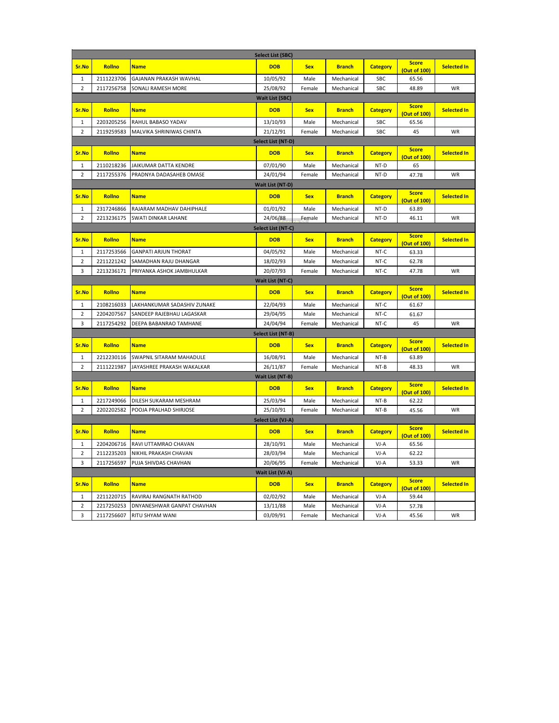| <b>Select List (SBC)</b> |                          |                                                       |                         |              |                          |                 |                              |                    |  |
|--------------------------|--------------------------|-------------------------------------------------------|-------------------------|--------------|--------------------------|-----------------|------------------------------|--------------------|--|
| Sr.No                    | Rollno                   | <b>Name</b>                                           | <b>DOB</b>              | <b>Sex</b>   | <b>Branch</b>            | <b>Category</b> | <b>Score</b><br>(Out of 100) | <b>Selected In</b> |  |
| $\mathbf{1}$             | 2111223706               | GAJANAN PRAKASH WAVHAL                                | 10/05/92                | Male         | Mechanical               | SBC             | 65.56                        |                    |  |
| $\overline{2}$           | 2117256758               | SONALI RAMESH MORE                                    | 25/08/92                | Female       | Mechanical               | <b>SBC</b>      | 48.89                        | WR                 |  |
|                          |                          |                                                       | <b>Wait List (SBC)</b>  |              |                          |                 |                              |                    |  |
| Sr.No                    | Rollno                   | <b>Name</b>                                           | <b>DOB</b>              | <b>Sex</b>   | <b>Branch</b>            | <b>Category</b> | <b>Score</b>                 | <b>Selected In</b> |  |
| $\mathbf{1}$             | 2203205256               | RAHUL BABASO YADAV                                    | 13/10/93                | Male         | Mechanical               | SBC             | (Out of 100)<br>65.56        |                    |  |
| $\overline{2}$           | 2119259583               | MALVIKA SHRINIWAS CHINTA                              | 21/12/91                | Female       | Mechanical               | <b>SBC</b>      | 45                           | WR                 |  |
|                          |                          |                                                       | Select List (NT-D)      |              |                          |                 |                              |                    |  |
| Sr.No                    | Rollno                   | <b>Name</b>                                           | <b>DOB</b>              | <b>Sex</b>   | <b>Branch</b>            | <b>Category</b> | <b>Score</b>                 | <b>Selected In</b> |  |
| $\mathbf{1}$             | 2110218236               | JAIKUMAR DATTA KENDRE                                 | 07/01/90                | Male         | Mechanical               | NT-D            | (Out of 100)<br>65           |                    |  |
| $\overline{2}$           | 2117255376               | PRADNYA DADASAHEB OMASE                               | 24/01/94                | Female       | Mechanical               | NT-D            | 47.78                        | WR                 |  |
|                          |                          |                                                       | <b>Wait List (NT-D)</b> |              |                          |                 |                              |                    |  |
|                          |                          |                                                       |                         |              |                          |                 | <b>Score</b>                 |                    |  |
| Sr.No                    | Rollno                   | <b>Name</b>                                           | <b>DOB</b>              | <b>Sex</b>   | <b>Branch</b>            | <b>Category</b> | (Out of 100)                 | <b>Selected In</b> |  |
| 1                        | 2317246866               | RAJARAM MADHAV DAHIPHALE                              | 01/01/92                | Male         | Mechanical               | NT-D            | 63.89                        |                    |  |
| $\overline{2}$           | 2213236175               | SWATI DINKAR LAHANE                                   | 24/06/88                | Female       | Mechanical               | NT-D            | 46.11                        | WR                 |  |
|                          |                          |                                                       | Select List (NT-C)      |              |                          |                 |                              |                    |  |
| Sr.No                    | Rollno                   | <b>Name</b>                                           | <b>DOB</b>              | <b>Sex</b>   | <b>Branch</b>            | <b>Category</b> | <b>Score</b>                 | <b>Selected In</b> |  |
|                          |                          |                                                       |                         |              |                          |                 | (Out of 100)                 |                    |  |
| 1                        | 2117253566               | <b>GANPATI ARJUN THORAT</b>                           | 04/05/92                | Male         | Mechanical               | NT-C            | 63.33                        |                    |  |
| $\overline{2}$           | 2211221242               | SAMADHAN RAJU DHANGAR                                 | 18/02/93                | Male         | Mechanical               | NT-C            | 62.78                        |                    |  |
| 3                        | 2213236171               | PRIYANKA ASHOK JAMBHULKAR                             | 20/07/93                | Female       | Mechanical               | NT-C            | 47.78                        | WR                 |  |
|                          |                          |                                                       | Wait List (NT-C)        |              |                          |                 |                              |                    |  |
| Sr.No                    | Rollno                   | <b>Name</b>                                           | <b>DOB</b>              | <b>Sex</b>   | <b>Branch</b>            | <b>Category</b> | <b>Score</b><br>(Out of 100) | <b>Selected In</b> |  |
| $\mathbf{1}$             | 2108216033               | LAKHANKUMAR SADASHIV ZUNAKE                           | 22/04/93                | Male         | Mechanical               | NT-C            | 61.67                        |                    |  |
| $\overline{2}$           | 2204207567               | SANDEEP RAJEBHAU LAGASKAR                             | 29/04/95                | Male         | Mechanical               | NT-C            | 61.67                        |                    |  |
| 3                        | 2117254292               | DEEPA BABANRAO TAMHANE                                | 24/04/94                | Female       | Mechanical               | NT-C            | 45                           | WR                 |  |
|                          |                          |                                                       | Select List (NT-B)      |              |                          |                 |                              |                    |  |
| Sr.No                    | Rollno                   | <b>Name</b>                                           | <b>DOB</b>              | <b>Sex</b>   | <b>Branch</b>            | <b>Category</b> | <b>Score</b><br>(Out of 100) | <b>Selected In</b> |  |
| $\mathbf{1}$             | 2212230116               | SWAPNIL SITARAM MAHADULE                              | 16/08/91                | Male         | Mechanical               | NT-B            | 63.89                        |                    |  |
| $\overline{2}$           | 2111221987               | JAYASHREE PRAKASH WAKALKAR                            | 26/11/87                | Female       | Mechanical               | $NT-B$          | 48.33                        | WR                 |  |
|                          |                          |                                                       | Wait List (NT-B)        |              |                          |                 |                              |                    |  |
| Sr.No                    | Rollno                   | <b>Name</b>                                           | <b>DOB</b>              | <b>Sex</b>   | <b>Branch</b>            | <b>Category</b> | <b>Score</b><br>(Out of 100) | <b>Selected In</b> |  |
| $\mathbf{1}$             | 2217249066               | DILESH SUKARAM MESHRAM                                | 25/03/94                | Male         | Mechanical               | NT-B            | 62.22                        |                    |  |
| $\overline{2}$           | 2202202582               | POOJA PRALHAD SHIRJOSE                                | 25/10/91                | Female       | Mechanical               | NT-B            | 45.56                        | WR                 |  |
|                          | Select List (VJ-A)       |                                                       |                         |              |                          |                 |                              |                    |  |
| Sr.No                    | Rollno                   | <b>Name</b>                                           | <b>DOB</b>              | <b>Sex</b>   | <b>Branch</b>            | <b>Category</b> | <b>Score</b><br>(Out of 100) | <b>Selected In</b> |  |
| 1                        | 2204206716               | RAVI UTTAMRAO CHAVAN                                  | 28/10/91                | Male         | Mechanical               | VJ-A            | 65.56                        |                    |  |
| $\overline{2}$           | 2112235203               | NIKHIL PRAKASH CHAVAN                                 | 28/03/94                | Male         | Mechanical               | VJ-A            | 62.22                        |                    |  |
| 3                        | 2117256597               | PUJA SHIVDAS CHAVHAN                                  | 20/06/95                | Female       | Mechanical               | VJ-A            | 53.33                        | WR                 |  |
| Wait List (VJ-A)         |                          |                                                       |                         |              |                          |                 |                              |                    |  |
| Sr.No                    | Rollno                   | <b>Name</b>                                           | <b>DOB</b>              | <b>Sex</b>   | <b>Branch</b>            | <b>Category</b> | <b>Score</b>                 | <b>Selected In</b> |  |
| $\mathbf{1}$             |                          |                                                       |                         |              |                          |                 | (Out of 100)                 |                    |  |
| $\overline{2}$           | 2211220715<br>2217250253 | RAVIRAJ RANGNATH RATHOD<br>DNYANESHWAR GANPAT CHAVHAN | 02/02/92<br>13/11/88    | Male<br>Male | Mechanical<br>Mechanical | VJ-A<br>$VI-A$  | 59.44<br>57.78               |                    |  |
| 3                        | 2117256607               | RITU SHYAM WANI                                       | 03/09/91                | Female       | Mechanical               | $VI-A$          | 45.56                        | WR                 |  |
|                          |                          |                                                       |                         |              |                          |                 |                              |                    |  |